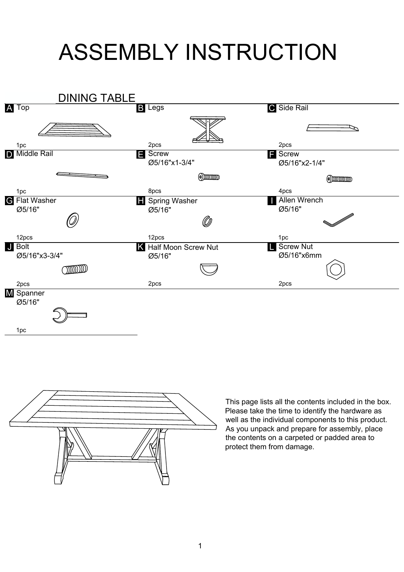## ASSEMBLY INSTRUCTION





This page lists all the contents included in the box. Please take the time to identify the hardware as well as the individual components to this product. As you unpack and prepare for assembly, place the contents on a carpeted or padded area to protect them from damage.